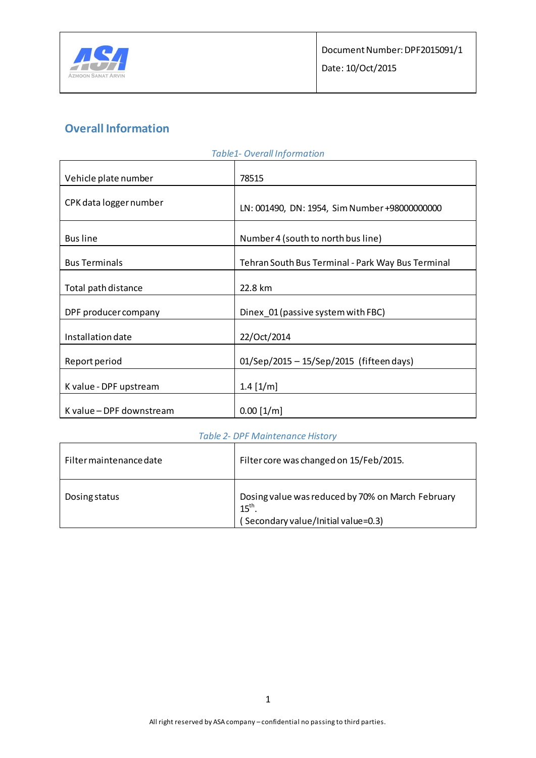

# **Overall Information**

|                          | TUDIEI- OVERAINIQUITIQUOIT                        |  |
|--------------------------|---------------------------------------------------|--|
| Vehicle plate number     | 78515                                             |  |
| CPK data logger number   | LN: 001490, DN: 1954, Sim Number +98000000000     |  |
| <b>Bus line</b>          | Number 4 (south to north bus line)                |  |
| <b>Bus Terminals</b>     | Tehran South Bus Terminal - Park Way Bus Terminal |  |
| Total path distance      | 22.8 km                                           |  |
| DPF producer company     | Dinex 01 (passive system with FBC)                |  |
| Installation date        | 22/Oct/2014                                       |  |
| Report period            | 01/Sep/2015 - 15/Sep/2015 (fifteen days)          |  |
| K value - DPF upstream   | $1.4$ [ $1/m$ ]                                   |  |
| K value - DPF downstream | $0.00$ [1/m]                                      |  |

### *Table1- Overall Information*

#### *Table 2- DPF Maintenance History*

| Filter maintenance date | Filter core was changed on 15/Feb/2015.                                                                      |
|-------------------------|--------------------------------------------------------------------------------------------------------------|
| Dosing status           | Dosing value was reduced by 70% on March February<br>$15^{\text{th}}$<br>(Secondary value/Initial value=0.3) |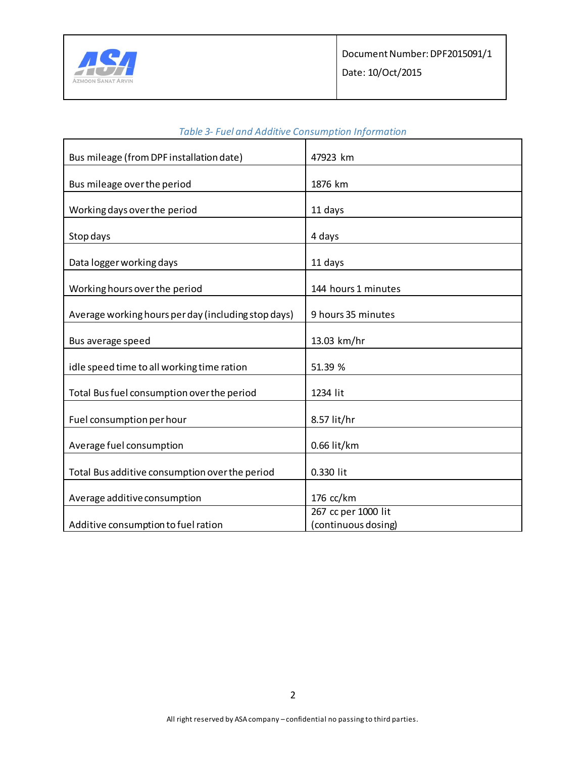

| Bus mileage (from DPF installation date)            | 47923 km            |
|-----------------------------------------------------|---------------------|
|                                                     |                     |
| Bus mileage over the period                         | 1876 km             |
|                                                     |                     |
| Working days over the period                        | 11 days             |
|                                                     |                     |
| Stop days                                           | 4 days              |
|                                                     |                     |
| Data logger working days                            | 11 days             |
|                                                     |                     |
| Working hours over the period                       | 144 hours 1 minutes |
|                                                     |                     |
| Average working hours per day (including stop days) | 9 hours 35 minutes  |
|                                                     |                     |
| Bus average speed                                   | 13.03 km/hr         |
|                                                     |                     |
| idle speed time to all working time ration          | 51.39 %             |
| Total Bus fuel consumption over the period          | 1234 lit            |
|                                                     |                     |
| Fuel consumption per hour                           | 8.57 lit/hr         |
|                                                     |                     |
| Average fuel consumption                            | 0.66 lit/km         |
|                                                     |                     |
| Total Bus additive consumption over the period      | 0.330 lit           |
|                                                     |                     |
| Average additive consumption                        | 176 cc/km           |
|                                                     | 267 cc per 1000 lit |
| Additive consumption to fuel ration                 | (continuous dosing) |

### *Table 3- Fuel and Additive Consumption Information*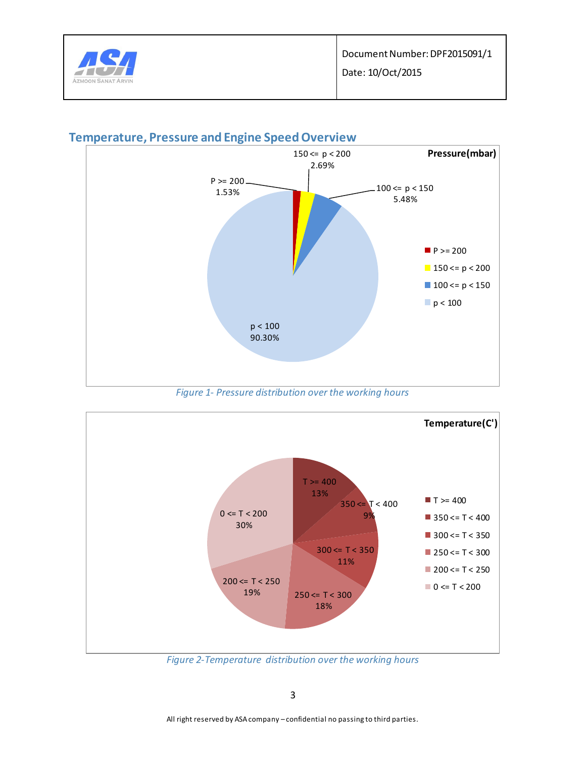



## **Temperature, Pressure and Engine Speed Overview**

*Figure 1- Pressure distribution over the working hours*



*Figure 2-Temperature distribution over the working hours*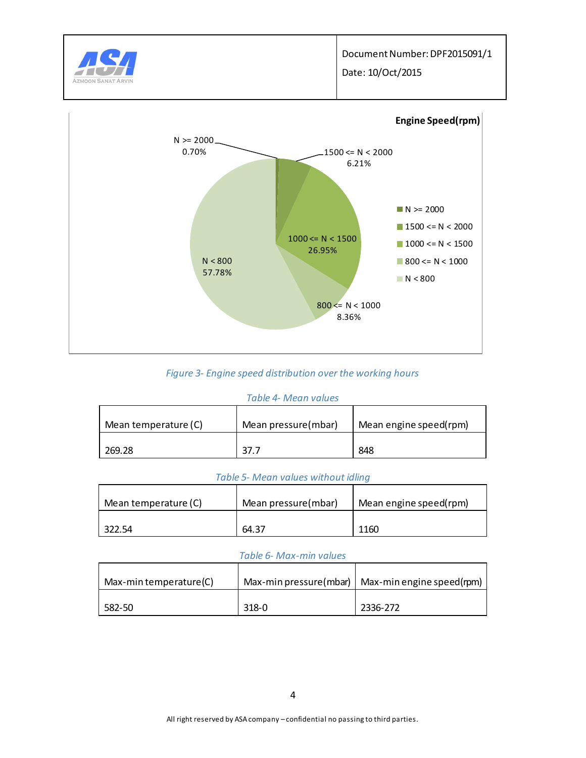

Date: 10/Oct/2015



#### *Figure 3- Engine speed distribution over the working hours*

#### *Table 4- Mean values*

| Mean temperature (C) | Mean pressure(mbar) | Mean engine speed(rpm) |  |
|----------------------|---------------------|------------------------|--|
| 269.28               | 37.7                | 848                    |  |

#### *Table 5- Mean values without idling*

| Mean temperature (C) | Mean pressure(mbar) | Mean engine speed(rpm) |
|----------------------|---------------------|------------------------|
| 322.54               | 64.37               | 1160                   |

#### *Table 6- Max-min values*

| Max-min temperature(C) |       | Max-min pressure(mbar)   Max-min engine speed(rpm) |
|------------------------|-------|----------------------------------------------------|
| 582-50                 | 318-0 | 2336-272                                           |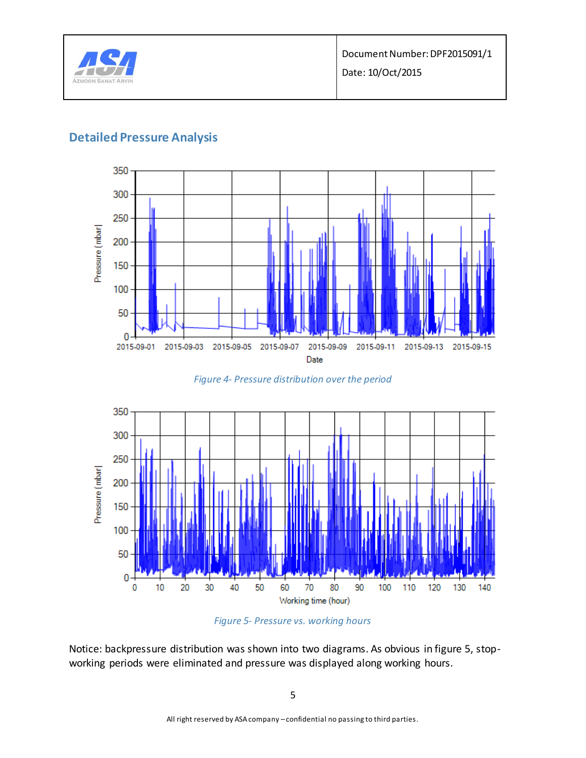

Date: 10/Oct/2015

## **Detailed Pressure Analysis**



*Figure 4- Pressure distribution over the period*





Notice: backpressure distribution was shown into two diagrams. As obvious in figure 5, stopworking periods were eliminated and pressure was displayed along working hours.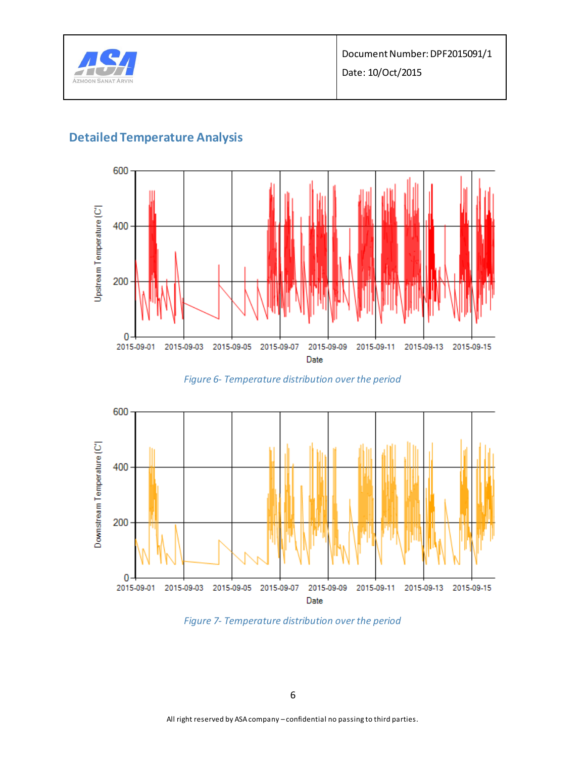

# **Detailed Temperature Analysis**



*Figure 6- Temperature distribution over the period*



*Figure 7- Temperature distribution over the period*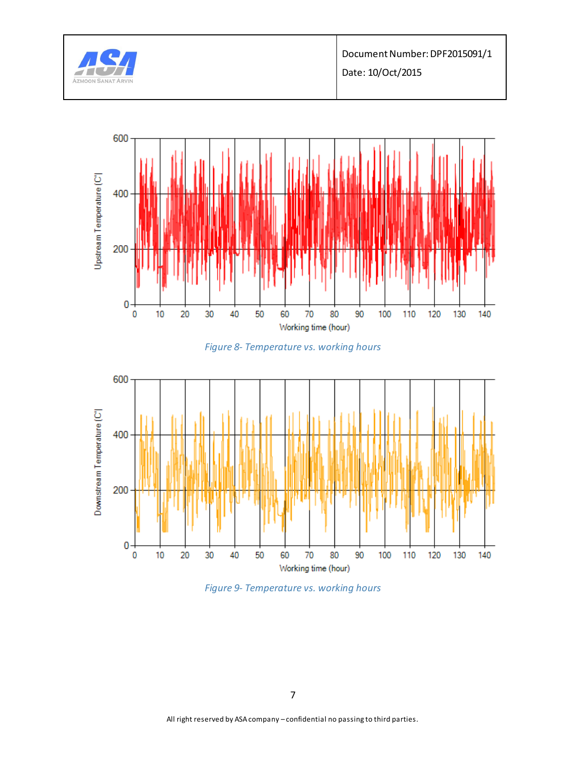

Document Number: DPF2015091/1

Date: 10/Oct/2015



*Figure 8- Temperature vs. working hours*



*Figure 9- Temperature vs. working hours*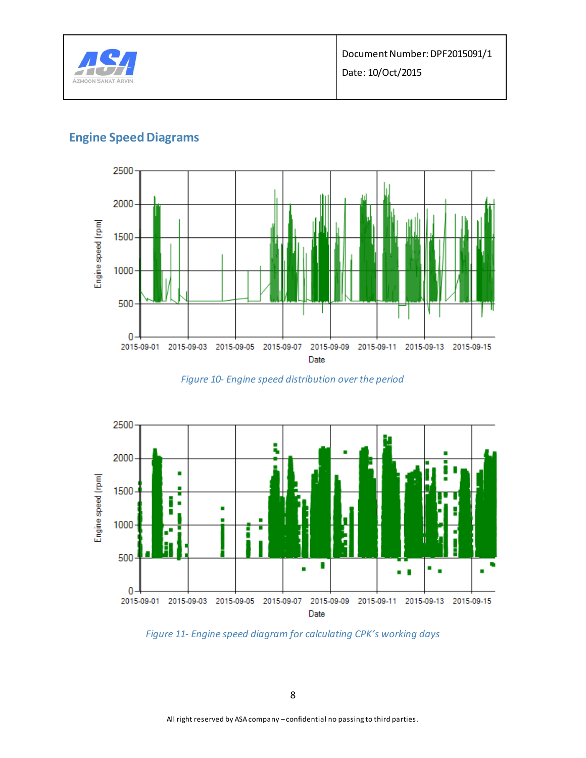

# **Engine Speed Diagrams**



*Figure 10- Engine speed distribution over the period*



*Figure 11- Engine speed diagram for calculating CPK's working days*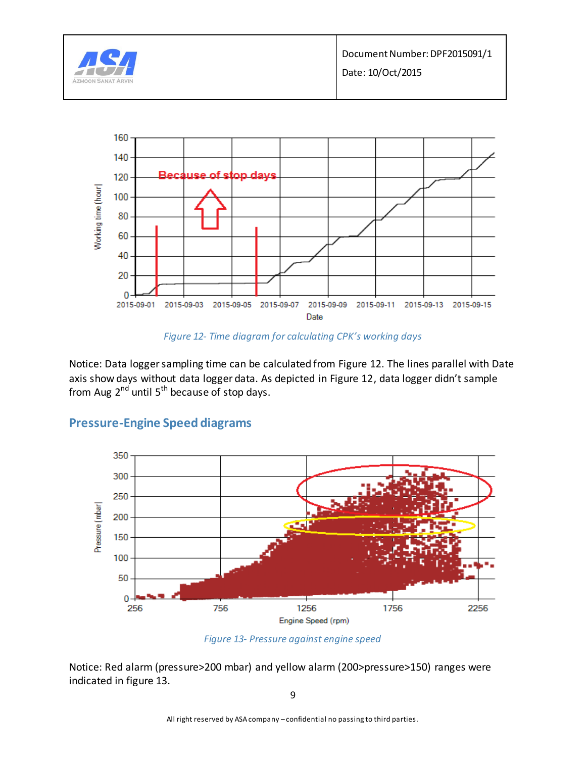

*Figure 12- Time diagram for calculating CPK's working days*

Notice: Data logger sampling time can be calculated from Figure 12. The lines parallel with Date axis show days without data logger data. As depicted in Figure 12, data logger didn't sample from Aug  $2^{nd}$  until 5<sup>th</sup> because of stop days.



## **Pressure-Engine Speed diagrams**

*Figure 13- Pressure against engine speed*

Notice: Red alarm (pressure>200 mbar) and yellow alarm (200>pressure>150) ranges were indicated in figure 13.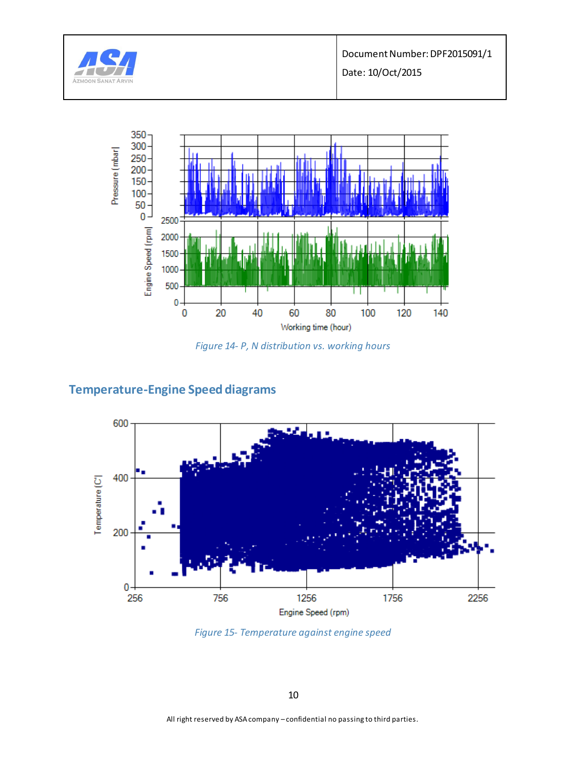

Document Number: DPF2015091/1

Date: 10/Oct/2015



*Figure 14- P, N distribution vs. working hours*

## **Temperature-Engine Speed diagrams**



*Figure 15- Temperature against engine speed*